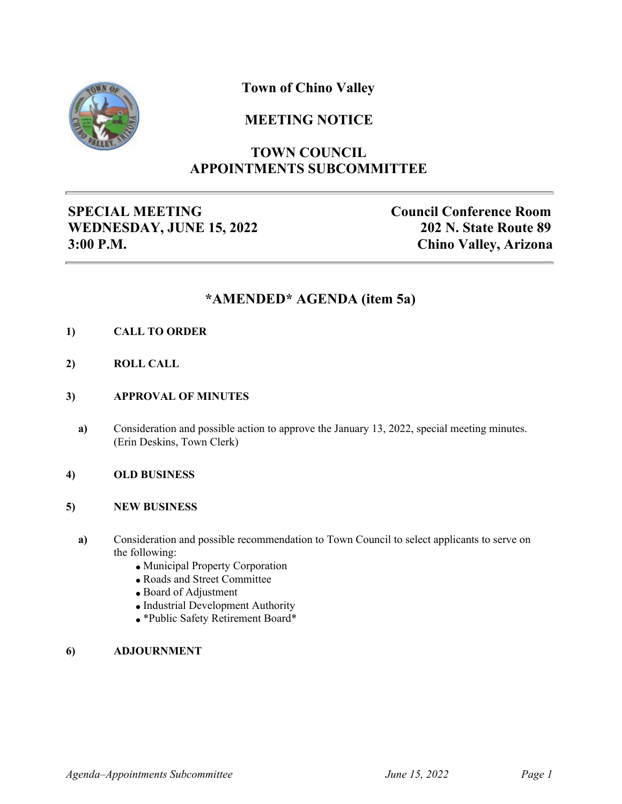

## **Town of Chino Valley**

## **MEETING NOTICE**

# **TOWN COUNCIL APPOINTMENTS SUBCOMMITTEE**

## **SPECIAL MEETING WEDNESDAY, JUNE 15, 2022 3:00 P.M.**

**Council Conference Room 202 N. State Route 89 Chino Valley, Arizona**

#### **\*AMENDED\* AGENDA (item 5a)**

- **1) CALL TO ORDER**
- **2) ROLL CALL**
- **3) APPROVAL OF MINUTES**
	- **a)** Consideration and possible action to approve the January 13, 2022, special meeting minutes. (Erin Deskins, Town Clerk)

#### **4) OLD BUSINESS**

#### **5) NEW BUSINESS**

- **a)** Consideration and possible recommendation to Town Council to select applicants to serve on the following:
	- Municipal Property Corporation
	- Roads and Street Committee
	- Board of Adjustment
	- Industrial Development Authority
	- \*Public Safety Retirement Board\*

#### **6) ADJOURNMENT**